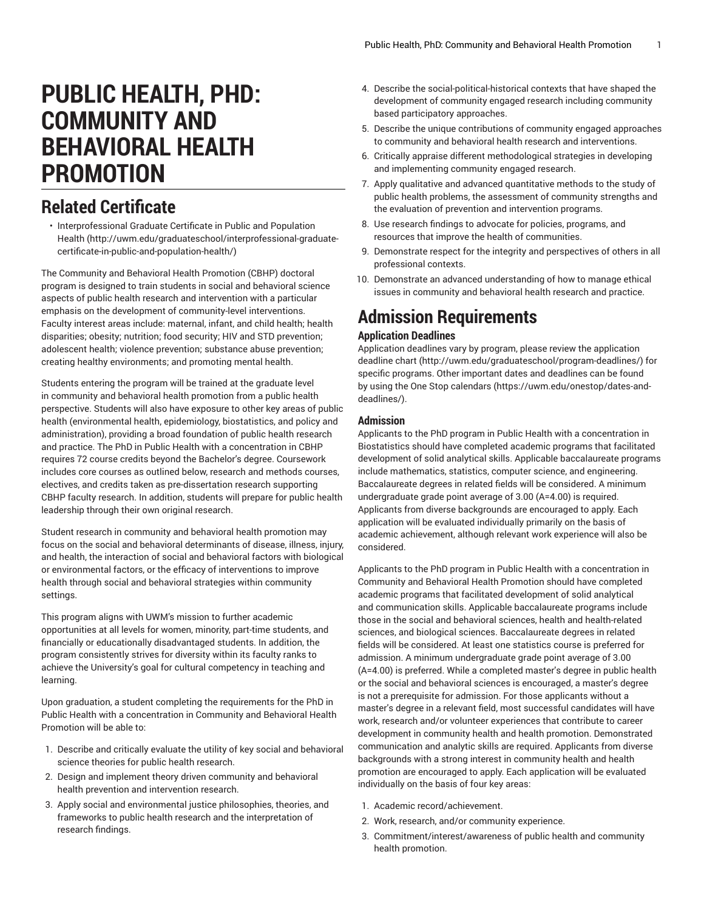# **PUBLIC HEALTH, PHD: COMMUNITY AND BEHAVIORAL HEALTH PROMOTION**

## **Related Certificate**

• [Interprofessional](http://uwm.edu/graduateschool/interprofessional-graduate-certificate-in-public-and-population-health/) Graduate Certificate in Public and Population [Health \(http://uwm.edu/graduateschool/interprofessional-graduate](http://uwm.edu/graduateschool/interprofessional-graduate-certificate-in-public-and-population-health/)[certificate-in-public-and-population-health/](http://uwm.edu/graduateschool/interprofessional-graduate-certificate-in-public-and-population-health/))

The Community and Behavioral Health Promotion (CBHP) doctoral program is designed to train students in social and behavioral science aspects of public health research and intervention with a particular emphasis on the development of community-level interventions. Faculty interest areas include: maternal, infant, and child health; health disparities; obesity; nutrition; food security; HIV and STD prevention; adolescent health; violence prevention; substance abuse prevention; creating healthy environments; and promoting mental health.

Students entering the program will be trained at the graduate level in community and behavioral health promotion from a public health perspective. Students will also have exposure to other key areas of public health (environmental health, epidemiology, biostatistics, and policy and administration), providing a broad foundation of public health research and practice. The PhD in Public Health with a concentration in CBHP requires 72 course credits beyond the Bachelor's degree. Coursework includes core courses as outlined below, research and methods courses, electives, and credits taken as pre-dissertation research supporting CBHP faculty research. In addition, students will prepare for public health leadership through their own original research.

Student research in community and behavioral health promotion may focus on the social and behavioral determinants of disease, illness, injury, and health, the interaction of social and behavioral factors with biological or environmental factors, or the efficacy of interventions to improve health through social and behavioral strategies within community settings.

This program aligns with UWM's mission to further academic opportunities at all levels for women, minority, part-time students, and financially or educationally disadvantaged students. In addition, the program consistently strives for diversity within its faculty ranks to achieve the University's goal for cultural competency in teaching and learning.

Upon graduation, a student completing the requirements for the PhD in Public Health with a concentration in Community and Behavioral Health Promotion will be able to:

- 1. Describe and critically evaluate the utility of key social and behavioral science theories for public health research.
- 2. Design and implement theory driven community and behavioral health prevention and intervention research.
- 3. Apply social and environmental justice philosophies, theories, and frameworks to public health research and the interpretation of research findings.
- 4. Describe the social-political-historical contexts that have shaped the development of community engaged research including community based participatory approaches.
- 5. Describe the unique contributions of community engaged approaches to community and behavioral health research and interventions.
- 6. Critically appraise different methodological strategies in developing and implementing community engaged research.
- 7. Apply qualitative and advanced quantitative methods to the study of public health problems, the assessment of community strengths and the evaluation of prevention and intervention programs.
- 8. Use research findings to advocate for policies, programs, and resources that improve the health of communities.
- 9. Demonstrate respect for the integrity and perspectives of others in all professional contexts.
- 10. Demonstrate an advanced understanding of how to manage ethical issues in community and behavioral health research and practice.

# **Admission Requirements**

### **Application Deadlines**

Application deadlines vary by program, please review the [application](http://uwm.edu/graduateschool/program-deadlines/) [deadline](http://uwm.edu/graduateschool/program-deadlines/) chart [\(http://uwm.edu/graduateschool/program-deadlines/\)](http://uwm.edu/graduateschool/program-deadlines/) for specific programs. Other important dates and deadlines can be found by using the [One Stop calendars](https://uwm.edu/onestop/dates-and-deadlines/) [\(https://uwm.edu/onestop/dates-and](https://uwm.edu/onestop/dates-and-deadlines/)[deadlines/](https://uwm.edu/onestop/dates-and-deadlines/)).

### **Admission**

Applicants to the PhD program in Public Health with a concentration in Biostatistics should have completed academic programs that facilitated development of solid analytical skills. Applicable baccalaureate programs include mathematics, statistics, computer science, and engineering. Baccalaureate degrees in related fields will be considered. A minimum undergraduate grade point average of 3.00 (A=4.00) is required. Applicants from diverse backgrounds are encouraged to apply. Each application will be evaluated individually primarily on the basis of academic achievement, although relevant work experience will also be considered.

Applicants to the PhD program in Public Health with a concentration in Community and Behavioral Health Promotion should have completed academic programs that facilitated development of solid analytical and communication skills. Applicable baccalaureate programs include those in the social and behavioral sciences, health and health-related sciences, and biological sciences. Baccalaureate degrees in related fields will be considered. At least one statistics course is preferred for admission. A minimum undergraduate grade point average of 3.00 (A=4.00) is preferred. While a completed master's degree in public health or the social and behavioral sciences is encouraged, a master's degree is not a prerequisite for admission. For those applicants without a master's degree in a relevant field, most successful candidates will have work, research and/or volunteer experiences that contribute to career development in community health and health promotion. Demonstrated communication and analytic skills are required. Applicants from diverse backgrounds with a strong interest in community health and health promotion are encouraged to apply. Each application will be evaluated individually on the basis of four key areas:

- 1. Academic record/achievement.
- 2. Work, research, and/or community experience.
- 3. Commitment/interest/awareness of public health and community health promotion.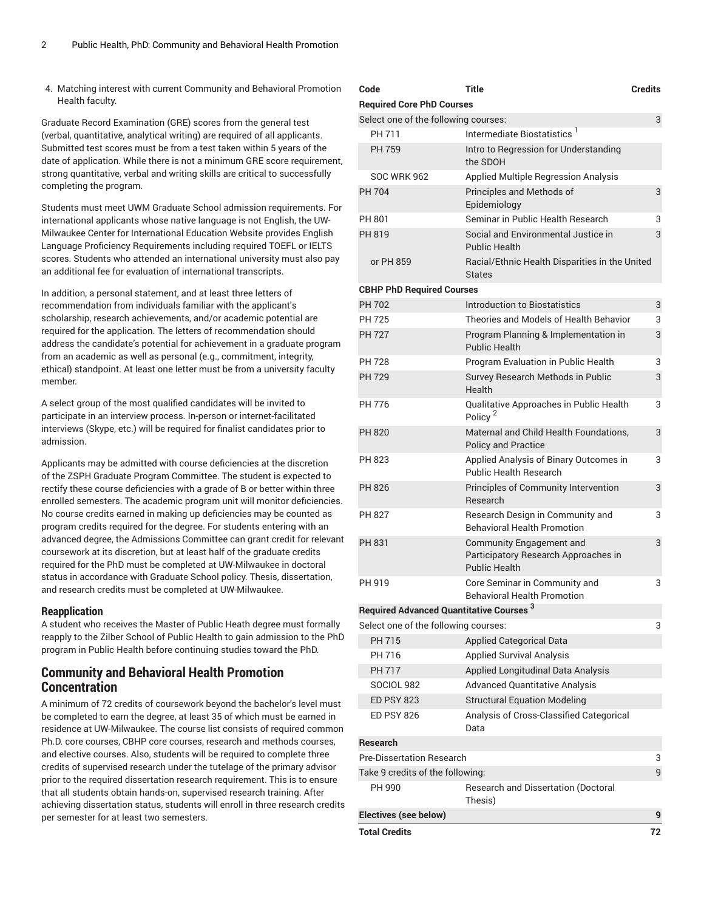4. Matching interest with current Community and Behavioral Promotion Health faculty.

Graduate Record Examination (GRE) scores from the general test (verbal, quantitative, analytical writing) are required of all applicants. Submitted test scores must be from a test taken within 5 years of the date of application. While there is not a minimum GRE score requirement, strong quantitative, verbal and writing skills are critical to successfully completing the program.

Students must meet UWM Graduate School admission requirements. For international applicants whose native language is not English, the UW-Milwaukee Center for International Education Website provides English Language Proficiency Requirements including required TOEFL or IELTS scores. Students who attended an international university must also pay an additional fee for evaluation of international transcripts.

In addition, a personal statement, and at least three letters of recommendation from individuals familiar with the applicant's scholarship, research achievements, and/or academic potential are required for the application. The letters of recommendation should address the candidate's potential for achievement in a graduate program from an academic as well as personal (e.g., commitment, integrity, ethical) standpoint. At least one letter must be from a university faculty member.

A select group of the most qualified candidates will be invited to participate in an interview process. In-person or internet-facilitated interviews (Skype, etc.) will be required for finalist candidates prior to admission.

Applicants may be admitted with course deficiencies at the discretion of the ZSPH Graduate Program Committee. The student is expected to rectify these course deficiencies with a grade of B or better within three enrolled semesters. The academic program unit will monitor deficiencies. No course credits earned in making up deficiencies may be counted as program credits required for the degree. For students entering with an advanced degree, the Admissions Committee can grant credit for relevant coursework at its discretion, but at least half of the graduate credits required for the PhD must be completed at UW-Milwaukee in doctoral status in accordance with Graduate School policy. Thesis, dissertation, and research credits must be completed at UW-Milwaukee.

#### **Reapplication**

A student who receives the Master of Public Heath degree must formally reapply to the Zilber School of Public Health to gain admission to the PhD program in Public Health before continuing studies toward the PhD.

### **Community and Behavioral Health Promotion Concentration**

A minimum of 72 credits of coursework beyond the bachelor's level must be completed to earn the degree, at least 35 of which must be earned in residence at UW-Milwaukee. The course list consists of required common Ph.D. core courses, CBHP core courses, research and methods courses, and elective courses. Also, students will be required to complete three credits of supervised research under the tutelage of the primary advisor prior to the required dissertation research requirement. This is to ensure that all students obtain hands-on, supervised research training. After achieving dissertation status, students will enroll in three research credits per semester for at least two semesters.

| Code                                            | Title                                                                                    | <b>Credits</b> |
|-------------------------------------------------|------------------------------------------------------------------------------------------|----------------|
| <b>Required Core PhD Courses</b>                |                                                                                          |                |
| Select one of the following courses:            |                                                                                          | 3              |
| PH 711                                          | Intermediate Biostatistics <sup>1</sup>                                                  |                |
| PH 759                                          | Intro to Regression for Understanding<br>the SDOH                                        |                |
| <b>SOC WRK 962</b>                              | Applied Multiple Regression Analysis                                                     |                |
| <b>PH 704</b>                                   | Principles and Methods of<br>Epidemiology                                                | 3              |
| PH 801                                          | Seminar in Public Health Research                                                        | 3              |
| PH 819                                          | Social and Environmental Justice in<br><b>Public Health</b>                              | 3              |
| or PH 859                                       | Racial/Ethnic Health Disparities in the United<br><b>States</b>                          |                |
| <b>CBHP PhD Required Courses</b>                |                                                                                          |                |
| <b>PH 702</b>                                   | <b>Introduction to Biostatistics</b>                                                     | 3              |
| <b>PH 725</b>                                   | Theories and Models of Health Behavior                                                   | 3              |
| <b>PH 727</b>                                   | Program Planning & Implementation in<br><b>Public Health</b>                             | 3              |
| <b>PH 728</b>                                   | Program Evaluation in Public Health                                                      | 3              |
| <b>PH 729</b>                                   | Survey Research Methods in Public<br>Health                                              | 3              |
| PH 776                                          | Qualitative Approaches in Public Health<br>Policy <sup>2</sup>                           | 3              |
| <b>PH 820</b>                                   | Maternal and Child Health Foundations.<br><b>Policy and Practice</b>                     | 3              |
| PH 823                                          | Applied Analysis of Binary Outcomes in<br><b>Public Health Research</b>                  | 3              |
| <b>PH 826</b>                                   | Principles of Community Intervention<br>Research                                         | 3              |
| PH 827                                          | Research Design in Community and<br><b>Behavioral Health Promotion</b>                   | 3              |
| PH 831                                          | Community Engagement and<br>Participatory Research Approaches in<br><b>Public Health</b> | 3              |
| PH 919                                          | Core Seminar in Community and<br><b>Behavioral Health Promotion</b>                      | 3              |
| <b>Required Advanced Quantitative Courses 3</b> |                                                                                          |                |
| Select one of the following courses:            |                                                                                          | 3              |
| <b>PH 715</b>                                   | <b>Applied Categorical Data</b>                                                          |                |
| PH 716                                          | <b>Applied Survival Analysis</b>                                                         |                |
| <b>PH 717</b>                                   | <b>Applied Longitudinal Data Analysis</b>                                                |                |
| <b>SOCIOL 982</b>                               | <b>Advanced Quantitative Analysis</b>                                                    |                |
| <b>ED PSY 823</b>                               | <b>Structural Equation Modeling</b>                                                      |                |
| <b>ED PSY 826</b>                               | Analysis of Cross-Classified Categorical<br>Data                                         |                |
| <b>Research</b>                                 |                                                                                          |                |
| <b>Pre-Dissertation Research</b>                |                                                                                          | 3              |
| Take 9 credits of the following:                |                                                                                          | 9              |
| PH 990                                          | Research and Dissertation (Doctoral<br>Thesis)                                           |                |
| <b>Electives (see below)</b>                    |                                                                                          | 9              |
| <b>Total Credits</b>                            |                                                                                          | 72             |